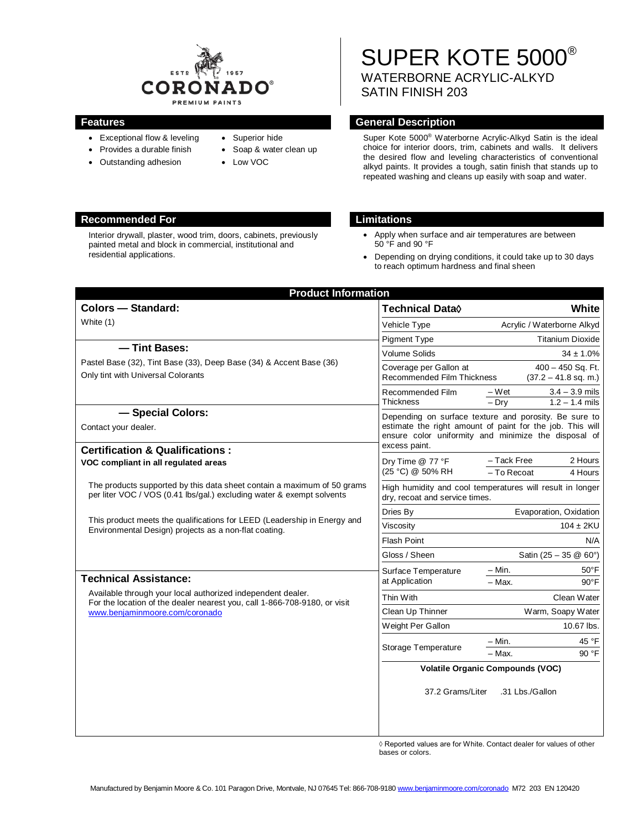

- Exceptional flow & leveling
- Provides a durable finish
- Outstanding adhesion
- Superior hide • Soap & water clean up
	- Low VOC

## **Recommended For Limitations**

Interior drywall, plaster, wood trim, doors, cabinets, previously painted metal and block in commercial, institutional and residential applications.

# SUPER KOTE 5000® WATERBORNE ACRYLIC-ALKYD SATIN FINISH 203

## **Features General Description**

Super Kote 5000® Waterborne Acrylic-Alkyd Satin is the ideal choice for interior doors, trim, cabinets and walls. It delivers the desired flow and leveling characteristics of conventional alkyd paints. It provides a tough, satin finish that stands up to repeated washing and cleans up easily with soap and water.

- Apply when surface and air temperatures are between 50 °F and 90 °F
- Depending on drying conditions, it could take up to 30 days to reach optimum hardness and final sheen

| <b>Product Information</b>                                                                                                                                                                  |  |  |
|---------------------------------------------------------------------------------------------------------------------------------------------------------------------------------------------|--|--|
| White<br>Technical Data <sup>(</sup>                                                                                                                                                        |  |  |
| Vehicle Type<br>Acrylic / Waterborne Alkyd                                                                                                                                                  |  |  |
| <b>Titanium Dioxide</b><br>Pigment Type                                                                                                                                                     |  |  |
| <b>Volume Solids</b><br>$34 \pm 1.0\%$                                                                                                                                                      |  |  |
| $400 - 450$ Sq. Ft.<br>Coverage per Gallon at<br>Recommended Film Thickness<br>$(37.2 - 41.8$ sq. m.)                                                                                       |  |  |
| Recommended Film<br>$-Wet$<br>$3.4 - 3.9$ mils<br>$1.2 - 1.4$ mils<br>$-$ Drv<br><b>Thickness</b>                                                                                           |  |  |
| Depending on surface texture and porosity. Be sure to<br>estimate the right amount of paint for the job. This will<br>ensure color uniformity and minimize the disposal of<br>excess paint. |  |  |
| - Tack Free<br>2 Hours<br>Dry Time @ 77 °F<br>(25 °C) @ 50% RH<br>- To Recoat<br>4 Hours                                                                                                    |  |  |
| High humidity and cool temperatures will result in longer<br>dry, recoat and service times.                                                                                                 |  |  |
| Dries By<br>Evaporation, Oxidation                                                                                                                                                          |  |  |
| $104 \pm 2KU$<br>Viscosity                                                                                                                                                                  |  |  |
| Flash Point<br>N/A                                                                                                                                                                          |  |  |
| Gloss / Sheen<br>Satin $(25 - 35 \& 60^{\circ})$                                                                                                                                            |  |  |
| – Min.<br>$50^{\circ}$ F<br>Surface Temperature                                                                                                                                             |  |  |
| at Application<br>$-$ Max.<br>$90^{\circ}$ F                                                                                                                                                |  |  |
| Thin With<br>Clean Water                                                                                                                                                                    |  |  |
| Warm, Soapy Water<br>Clean Up Thinner                                                                                                                                                       |  |  |
| Weight Per Gallon<br>10.67 lbs.                                                                                                                                                             |  |  |
| - Min.<br>45 °F<br>Storage Temperature<br>90 °F<br>- Max.                                                                                                                                   |  |  |
| <b>Volatile Organic Compounds (VOC)</b>                                                                                                                                                     |  |  |
| 37.2 Grams/Liter<br>.31 Lbs./Gallon                                                                                                                                                         |  |  |
|                                                                                                                                                                                             |  |  |

◊ Reported values are for White. Contact dealer for values of other bases or colors.